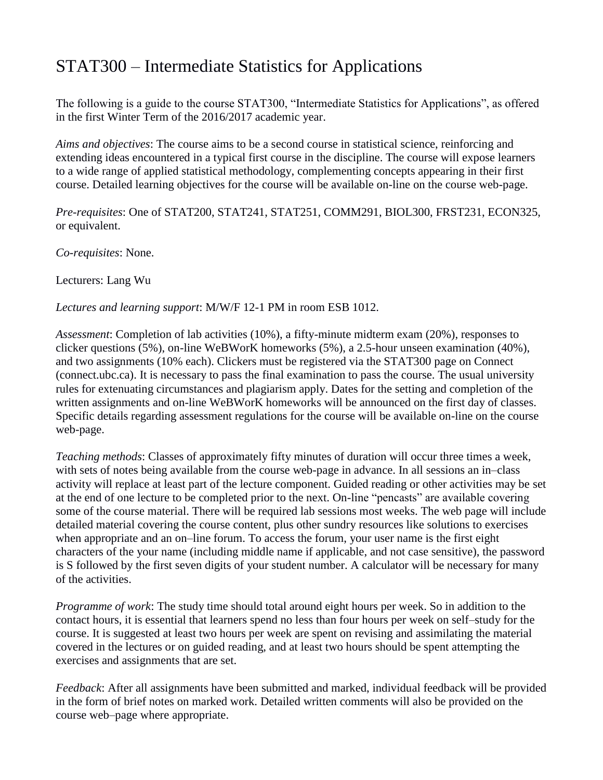## STAT300 – Intermediate Statistics for Applications

The following is a guide to the course STAT300, "Intermediate Statistics for Applications", as offered in the first Winter Term of the 2016/2017 academic year.

*Aims and objectives*: The course aims to be a second course in statistical science, reinforcing and extending ideas encountered in a typical first course in the discipline. The course will expose learners to a wide range of applied statistical methodology, complementing concepts appearing in their first course. Detailed learning objectives for the course will be available on-line on the course web-page.

*Pre-requisites*: One of STAT200, STAT241, STAT251, COMM291, BIOL300, FRST231, ECON325, or equivalent.

*Co-requisites*: None.

Lecturers: Lang Wu

*Lectures and learning support*: M/W/F 12-1 PM in room ESB 1012.

*Assessment*: Completion of lab activities (10%), a fifty-minute midterm exam (20%), responses to clicker questions (5%), on-line WeBWorK homeworks (5%), a 2.5-hour unseen examination (40%), and two assignments (10% each). Clickers must be registered via the STAT300 page on Connect (connect.ubc.ca). It is necessary to pass the final examination to pass the course. The usual university rules for extenuating circumstances and plagiarism apply. Dates for the setting and completion of the written assignments and on-line WeBWorK homeworks will be announced on the first day of classes. Specific details regarding assessment regulations for the course will be available on-line on the course web-page.

*Teaching methods*: Classes of approximately fifty minutes of duration will occur three times a week, with sets of notes being available from the course web-page in advance. In all sessions an in–class activity will replace at least part of the lecture component. Guided reading or other activities may be set at the end of one lecture to be completed prior to the next. On-line "pencasts" are available covering some of the course material. There will be required lab sessions most weeks. The web page will include detailed material covering the course content, plus other sundry resources like solutions to exercises when appropriate and an on–line forum. To access the forum, your user name is the first eight characters of the your name (including middle name if applicable, and not case sensitive), the password is S followed by the first seven digits of your student number. A calculator will be necessary for many of the activities.

*Programme of work*: The study time should total around eight hours per week. So in addition to the contact hours, it is essential that learners spend no less than four hours per week on self–study for the course. It is suggested at least two hours per week are spent on revising and assimilating the material covered in the lectures or on guided reading, and at least two hours should be spent attempting the exercises and assignments that are set.

*Feedback*: After all assignments have been submitted and marked, individual feedback will be provided in the form of brief notes on marked work. Detailed written comments will also be provided on the course web–page where appropriate.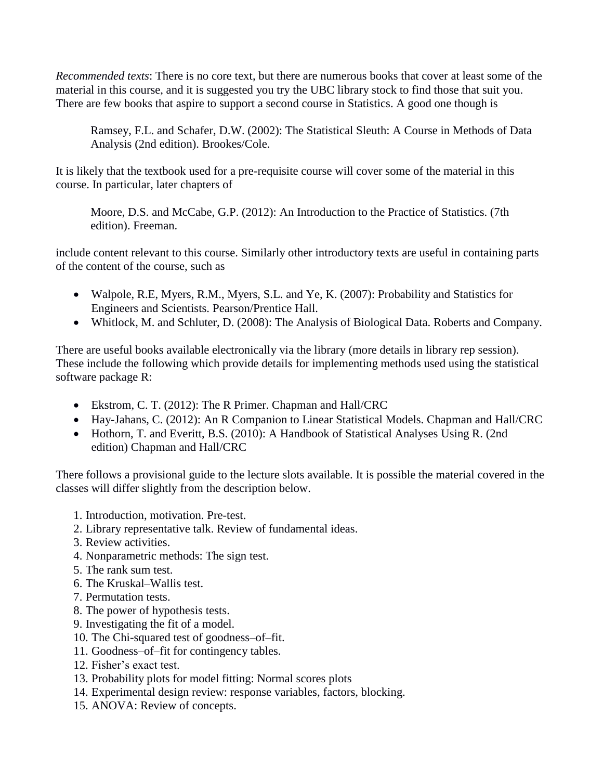*Recommended texts*: There is no core text, but there are numerous books that cover at least some of the material in this course, and it is suggested you try the UBC library stock to find those that suit you. There are few books that aspire to support a second course in Statistics. A good one though is

Ramsey, F.L. and Schafer, D.W. (2002): The Statistical Sleuth: A Course in Methods of Data Analysis (2nd edition). Brookes/Cole.

It is likely that the textbook used for a pre-requisite course will cover some of the material in this course. In particular, later chapters of

Moore, D.S. and McCabe, G.P. (2012): An Introduction to the Practice of Statistics. (7th edition). Freeman.

include content relevant to this course. Similarly other introductory texts are useful in containing parts of the content of the course, such as

- Walpole, R.E, Myers, R.M., Myers, S.L. and Ye, K. (2007): Probability and Statistics for Engineers and Scientists. Pearson/Prentice Hall.
- Whitlock, M. and Schluter, D. (2008): The Analysis of Biological Data. Roberts and Company.

There are useful books available electronically via the library (more details in library rep session). These include the following which provide details for implementing methods used using the statistical software package R:

- Ekstrom, C. T. (2012): The R Primer. Chapman and Hall/CRC
- Hay-Jahans, C. (2012): An R Companion to Linear Statistical Models. Chapman and Hall/CRC
- Hothorn, T. and Everitt, B.S. (2010): A Handbook of Statistical Analyses Using R. (2nd) edition) Chapman and Hall/CRC

There follows a provisional guide to the lecture slots available. It is possible the material covered in the classes will differ slightly from the description below.

- 1. Introduction, motivation. Pre-test.
- 2. Library representative talk. Review of fundamental ideas.
- 3. Review activities.
- 4. Nonparametric methods: The sign test.
- 5. The rank sum test.
- 6. The Kruskal–Wallis test.
- 7. Permutation tests.
- 8. The power of hypothesis tests.
- 9. Investigating the fit of a model.
- 10. The Chi-squared test of goodness–of–fit.
- 11. Goodness–of–fit for contingency tables.
- 12. Fisher's exact test.
- 13. Probability plots for model fitting: Normal scores plots
- 14. Experimental design review: response variables, factors, blocking.
- 15. ANOVA: Review of concepts.